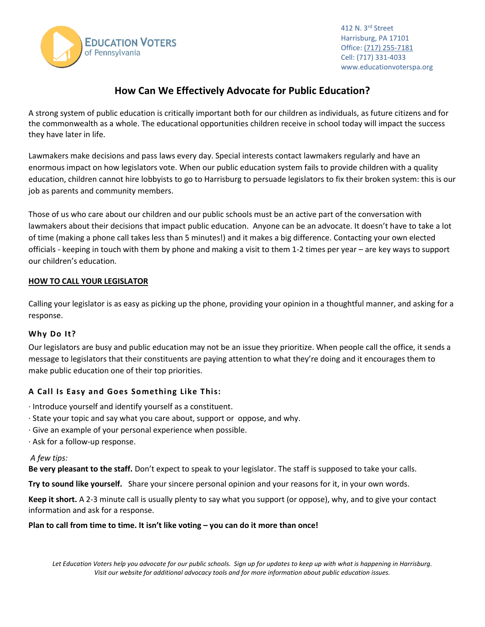

412 N. 3rd Street Harrisburg, PA 17101 Office[: \(717\) 255-7181](https://www.google.com/search?q=keystone+research+center&oq=keystone+research+center&aqs=chrome.0.0l6.2640j1j4&sourceid=chrome&ie=UTF-8) Cell: (717) 331-4033 www.educationvoterspa.org

# **How Can We Effectively Advocate for Public Education?**

A strong system of public education is critically important both for our children as individuals, as future citizens and for the commonwealth as a whole. The educational opportunities children receive in school today will impact the success they have later in life.

Lawmakers make decisions and pass laws every day. Special interests contact lawmakers regularly and have an enormous impact on how legislators vote. When our public education system fails to provide children with a quality education, children cannot hire lobbyists to go to Harrisburg to persuade legislators to fix their broken system: this is our job as parents and community members.

Those of us who care about our children and our public schools must be an active part of the conversation with lawmakers about their decisions that impact public education. Anyone can be an advocate. It doesn't have to take a lot of time (making a phone call takes less than 5 minutes!) and it makes a big difference. Contacting your own elected officials - keeping in touch with them by phone and making a visit to them 1-2 times per year – are key ways to support our children's education.

#### **HOW TO CALL YOUR LEGISLATOR**

Calling your legislator is as easy as picking up the phone, providing your opinion in a thoughtful manner, and asking for a response.

## **Why Do It?**

Our legislators are busy and public education may not be an issue they prioritize. When people call the office, it sends a message to legislators that their constituents are paying attention to what they're doing and it encourages them to make public education one of their top priorities.

## **A Call Is Easy and Goes Something Like This:**

- · Introduce yourself and identify yourself as a constituent.
- · State your topic and say what you care about, support or oppose, and why.
- · Give an example of your personal experience when possible.
- · Ask for a follow-up response.

#### *A few tips:*

**Be very pleasant to the staff.** Don't expect to speak to your legislator. The staff is supposed to take your calls.

**Try to sound like yourself.** Share your sincere personal opinion and your reasons for it, in your own words.

**Keep it short.** A 2-3 minute call is usually plenty to say what you support (or oppose), why, and to give your contact information and ask for a response.

#### **Plan to call from time to time. It isn't like voting – you can do it more than once!**